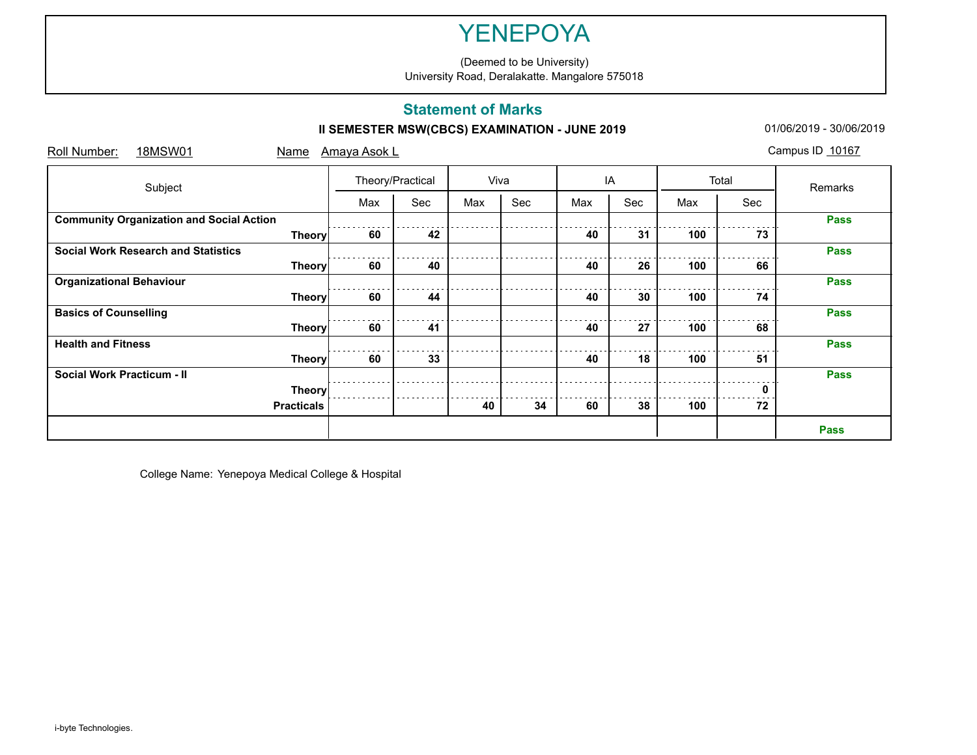(Deemed to be University) University Road, Deralakatte. Mangalore 575018

### **Statement of Marks**

## **II SEMESTER MSW(CBCS) EXAMINATION - JUNE 2019** 01/06/2019 - 01/06/2019 - 30/06/2019

| Subject                                         |               | Theory/Practical |     | Viva |     | IA  |     | Total |     | Remarks     |
|-------------------------------------------------|---------------|------------------|-----|------|-----|-----|-----|-------|-----|-------------|
|                                                 |               | Max              | Sec | Max  | Sec | Max | Sec | Max   | Sec |             |
| <b>Community Organization and Social Action</b> |               |                  |     |      |     |     |     |       |     | <b>Pass</b> |
|                                                 | <b>Theory</b> | 60               | 42  |      |     | 40  | 31  | 100   | 73  |             |
| <b>Social Work Research and Statistics</b>      |               |                  |     |      |     |     |     |       |     | <b>Pass</b> |
|                                                 | <b>Theory</b> | 60               | 40  |      |     | 40  | 26  | 100   | 66  |             |
| <b>Organizational Behaviour</b>                 |               |                  |     |      |     |     |     |       |     | <b>Pass</b> |
|                                                 | <b>Theory</b> | 60               | 44  |      |     | 40  | 30  | 100   | 74  |             |
| <b>Basics of Counselling</b>                    |               |                  |     |      |     |     |     |       |     | <b>Pass</b> |
|                                                 | <b>Theory</b> | 60               | 41  |      |     | 40  | 27  | 100   | 68  |             |
| <b>Health and Fitness</b>                       |               |                  |     |      |     |     |     |       |     | <b>Pass</b> |
|                                                 | <b>Theory</b> | 60               | 33  |      |     | 40  | 18  | 100   | 51  |             |
| <b>Social Work Practicum - II</b>               |               |                  |     |      |     |     |     |       |     | <b>Pass</b> |
|                                                 | <b>Theory</b> |                  |     |      |     |     |     |       | U   |             |
| <b>Practicals</b>                               |               |                  |     | 40   | 34  | 60  | 38  | 100   | 72  |             |

College Name: Yenepoya Medical College & Hospital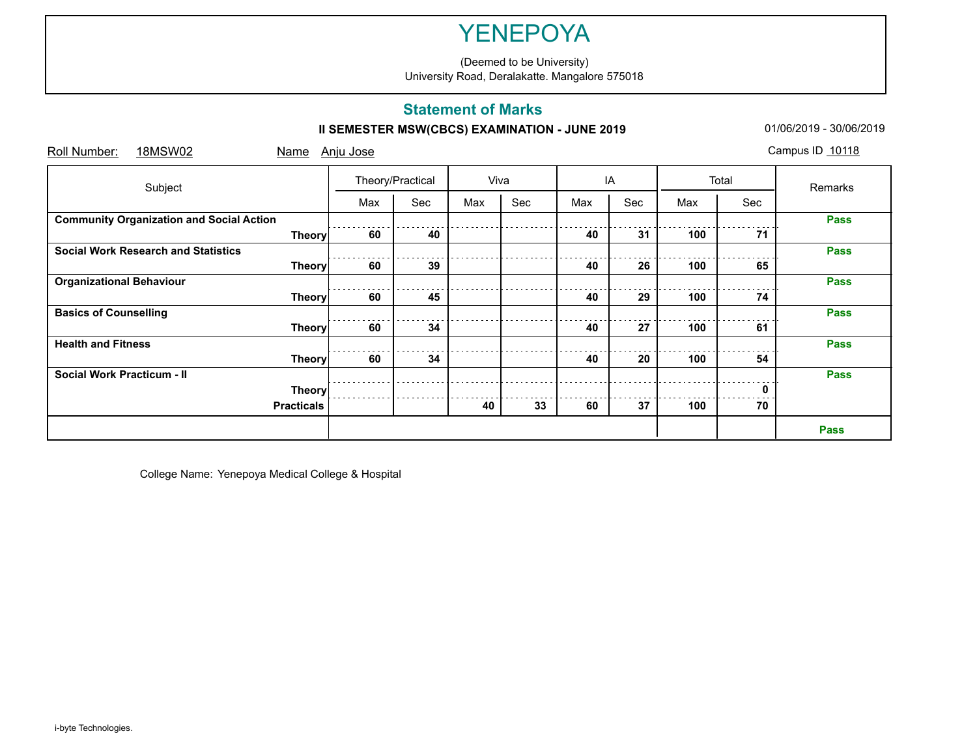(Deemed to be University) University Road, Deralakatte. Mangalore 575018

### **Statement of Marks**

## **II SEMESTER MSW(CBCS) EXAMINATION - JUNE 2019** 01/06/2019 - 01/06/2019 - 30/06/2019

| Subject                                         | Theory/Practical |     | Viva |     | IA  |     | Total | Remarks |             |
|-------------------------------------------------|------------------|-----|------|-----|-----|-----|-------|---------|-------------|
|                                                 | Max              | Sec | Max  | Sec | Max | Sec | Max   | Sec     |             |
| <b>Community Organization and Social Action</b> |                  |     |      |     |     |     |       |         | <b>Pass</b> |
| <b>Theory</b>                                   | 60               | 40  |      |     | 40  | 31  | 100   | 71      |             |
| <b>Social Work Research and Statistics</b>      |                  |     |      |     |     |     |       |         | <b>Pass</b> |
| <b>Theory</b>                                   | 60               | 39  |      |     | 40  | 26  | 100   | 65      |             |
| <b>Organizational Behaviour</b>                 |                  |     |      |     |     |     |       |         | <b>Pass</b> |
| <b>Theory</b>                                   | 60               | 45  |      |     | 40  | 29  | 100   | 74      |             |
| <b>Basics of Counselling</b>                    |                  |     |      |     |     |     |       |         | <b>Pass</b> |
| <b>Theory</b>                                   | 60               | 34  |      |     | 40  | 27  | 100   | 61      |             |
| <b>Health and Fitness</b>                       |                  |     |      |     |     |     |       |         | <b>Pass</b> |
| <b>Theory</b>                                   | 60               | 34  |      |     | 40  | 20  | 100   | 54      |             |
| <b>Social Work Practicum - II</b>               |                  |     |      |     |     |     |       |         | <b>Pass</b> |
| <b>Theory</b>                                   |                  |     |      |     |     |     |       |         |             |
| <b>Practicals</b>                               |                  |     | 40   | 33  | 60  | 37  | 100   | 70      |             |

College Name: Yenepoya Medical College & Hospital

i-byte Technologies.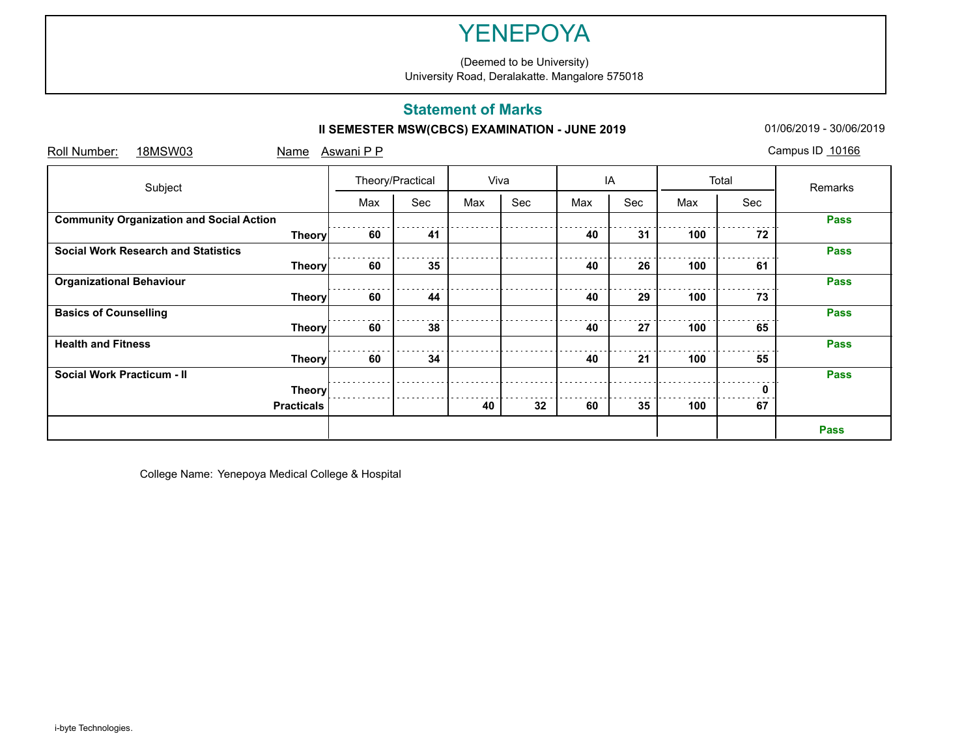(Deemed to be University) University Road, Deralakatte. Mangalore 575018

### **Statement of Marks**

## **II SEMESTER MSW(CBCS) EXAMINATION - JUNE 2019** 01/06/2019 - 01/06/2019 - 30/06/2019

| Subject                                         |                   | Theory/Practical |     | Viva |     | IA  |     | Total |     | Remarks     |
|-------------------------------------------------|-------------------|------------------|-----|------|-----|-----|-----|-------|-----|-------------|
|                                                 |                   | Max              | Sec | Max  | Sec | Max | Sec | Max   | Sec |             |
| <b>Community Organization and Social Action</b> |                   |                  |     |      |     |     |     |       |     | <b>Pass</b> |
|                                                 | <b>Theory</b>     | 60               | 41  |      |     | 40  | 31  | 100   | 72  |             |
| <b>Social Work Research and Statistics</b>      |                   |                  |     |      |     |     |     |       |     | <b>Pass</b> |
|                                                 | <b>Theory</b>     | 60               | 35  |      |     | 40  | 26  | 100   | 61  |             |
| <b>Organizational Behaviour</b>                 |                   |                  |     |      |     |     |     |       |     | <b>Pass</b> |
|                                                 | <b>Theory</b>     | 60               | 44  |      |     | 40  | 29  | 100   | 73  |             |
| <b>Basics of Counselling</b>                    |                   |                  |     |      |     |     |     |       |     | <b>Pass</b> |
|                                                 | <b>Theory</b>     | 60               | 38  |      |     | 40  | 27  | 100   | 65  |             |
| <b>Health and Fitness</b>                       |                   |                  |     |      |     |     |     |       |     | <b>Pass</b> |
|                                                 | <b>Theory</b>     | 60               | 34  |      |     | 40  | 21  | 100   | 55  |             |
| <b>Social Work Practicum - II</b>               |                   |                  |     |      |     |     |     |       |     | <b>Pass</b> |
|                                                 | <b>Theory</b>     |                  |     |      |     |     |     |       |     |             |
|                                                 | <b>Practicals</b> |                  |     | 40   | 32  | 60  | 35  | 100   | 67  |             |
|                                                 |                   |                  |     |      |     |     |     |       |     | <b>Pass</b> |

College Name: Yenepoya Medical College & Hospital

i-byte Technologies.